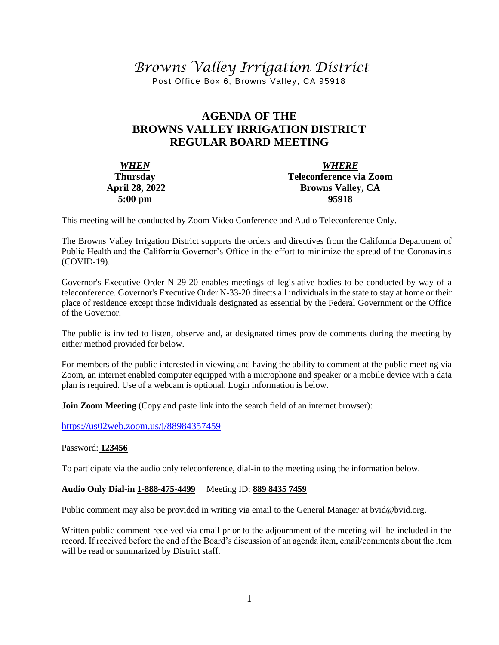# *Browns Valley Irrigation District*

Post Office Box 6, Browns Valley, CA 95918

## **AGENDA OF THE BROWNS VALLEY IRRIGATION DISTRICT REGULAR BOARD MEETING**

| <b>WHEN</b>       | <b>WHERE</b>             |  |  |
|-------------------|--------------------------|--|--|
| <b>Thursday</b>   | Teleconference via Zoom  |  |  |
| April 28, 2022    | <b>Browns Valley, CA</b> |  |  |
| $5:00 \text{ pm}$ | 95918                    |  |  |

This meeting will be conducted by Zoom Video Conference and Audio Teleconference Only.

The Browns Valley Irrigation District supports the orders and directives from the California Department of Public Health and the California Governor's Office in the effort to minimize the spread of the Coronavirus (COVID-19).

Governor's Executive Order N-29-20 enables meetings of legislative bodies to be conducted by way of a teleconference. Governor's Executive Order N-33-20 directs all individuals in the state to stay at home or their place of residence except those individuals designated as essential by the Federal Government or the Office of the Governor.

The public is invited to listen, observe and, at designated times provide comments during the meeting by either method provided for below.

For members of the public interested in viewing and having the ability to comment at the public meeting via Zoom, an internet enabled computer equipped with a microphone and speaker or a mobile device with a data plan is required. Use of a webcam is optional. Login information is below.

**Join Zoom Meeting** (Copy and paste link into the search field of an internet browser):

[https://us02web.zoom.us/j/88](https://us02web.zoom.us/j/8)984357459

#### Password: **123456**

To participate via the audio only teleconference, dial-in to the meeting using the information below.

#### **Audio Only Dial-in 1-888-475-4499** Meeting ID: **889 8435 7459**

Public comment may also be provided in writing via email to the General Manager at bvid@bvid.org.

Written public comment received via email prior to the adjournment of the meeting will be included in the record. If received before the end of the Board's discussion of an agenda item, email/comments about the item will be read or summarized by District staff.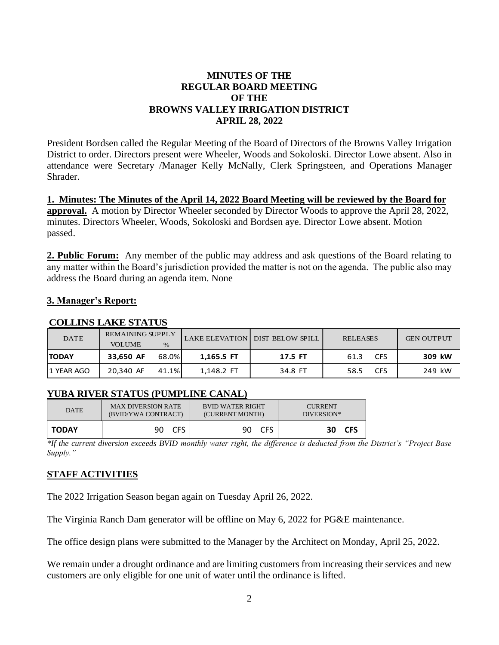#### **MINUTES OF THE REGULAR BOARD MEETING OF THE BROWNS VALLEY IRRIGATION DISTRICT APRIL 28, 2022**

President Bordsen called the Regular Meeting of the Board of Directors of the Browns Valley Irrigation District to order. Directors present were Wheeler, Woods and Sokoloski. Director Lowe absent. Also in attendance were Secretary /Manager Kelly McNally, Clerk Springsteen, and Operations Manager Shrader.

**1. Minutes: The Minutes of the April 14, 2022 Board Meeting will be reviewed by the Board for approval.** A motion by Director Wheeler seconded by Director Woods to approve the April 28, 2022, minutes. Directors Wheeler, Woods, Sokoloski and Bordsen aye. Director Lowe absent. Motion passed.

**2. Public Forum:** Any member of the public may address and ask questions of the Board relating to any matter within the Board's jurisdiction provided the matter is not on the agenda. The public also may address the Board during an agenda item. None

### **3. Manager's Report:**

#### **COLLINS LAKE STATUS**

| <b>DATE</b>  | <b>REMAINING SUPPLY</b><br><b>VOLUME</b> | $\%$  |            | LAKE ELEVATION DIST BELOW SPILL | <b>RELEASES</b>    | <b>GEN OUTPUT</b> |
|--------------|------------------------------------------|-------|------------|---------------------------------|--------------------|-------------------|
| <b>TODAY</b> | 33,650 AF                                | 68.0% | 1,165.5 FT | 17.5 FT                         | <b>CFS</b><br>61.3 | 309 kW            |
| 11 YEAR AGO  | 20.340 AF                                | 41.1% | 1,148.2 FT | 34.8 FT                         | <b>CFS</b><br>58.5 | 249 kW            |

### **YUBA RIVER STATUS (PUMPLINE CANAL)**

| <b>DATE</b>  | <b>MAX DIVERSION RATE</b> | <b>BVID WATER RIGHT</b> | <b>CURRENT</b> |
|--------------|---------------------------|-------------------------|----------------|
|              | (BVID/YWA CONTRACT)       | (CURRENT MONTH)         | DIVERSION*     |
| <b>TODAY</b> | <b>CFS</b><br>90          | <b>CFS</b><br>90.       | 30 CFS         |

*\*If the current diversion exceeds BVID monthly water right, the difference is deducted from the District's "Project Base Supply."*

## **STAFF ACTIVITIES**

The 2022 Irrigation Season began again on Tuesday April 26, 2022.

The Virginia Ranch Dam generator will be offline on May 6, 2022 for PG&E maintenance.

The office design plans were submitted to the Manager by the Architect on Monday, April 25, 2022.

We remain under a drought ordinance and are limiting customers from increasing their services and new customers are only eligible for one unit of water until the ordinance is lifted.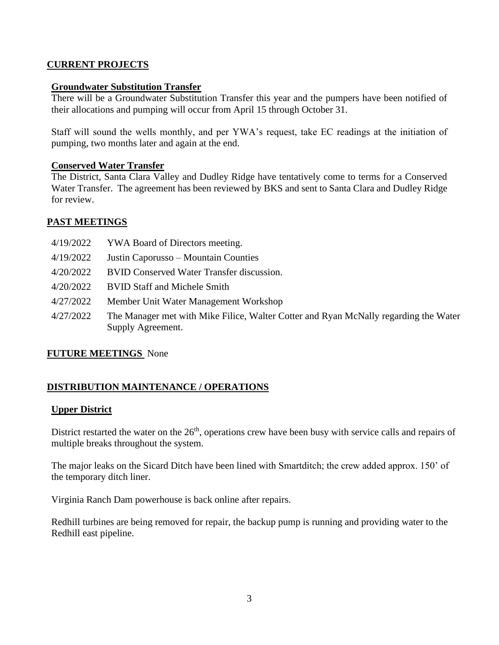#### **CURRENT PROJECTS**

#### **Groundwater Substitution Transfer**

There will be a Groundwater Substitution Transfer this year and the pumpers have been notified of their allocations and pumping will occur from April 15 through October 31.

Staff will sound the wells monthly, and per YWA's request, take EC readings at the initiation of pumping, two months later and again at the end.

#### **Conserved Water Transfer**

The District, Santa Clara Valley and Dudley Ridge have tentatively come to terms for a Conserved Water Transfer. The agreement has been reviewed by BKS and sent to Santa Clara and Dudley Ridge for review.

#### **PAST MEETINGS**

| 4/19/2022 | YWA Board of Directors meeting.                                                                           |
|-----------|-----------------------------------------------------------------------------------------------------------|
| 4/19/2022 | Justin Caporusso – Mountain Counties                                                                      |
| 4/20/2022 | <b>BVID Conserved Water Transfer discussion.</b>                                                          |
| 4/20/2022 | <b>BVID Staff and Michele Smith</b>                                                                       |
| 4/27/2022 | Member Unit Water Management Workshop                                                                     |
| 4/27/2022 | The Manager met with Mike Filice, Walter Cotter and Ryan McNally regarding the Water<br>Supply Agreement. |

### **FUTURE MEETINGS** None

### **DISTRIBUTION MAINTENANCE / OPERATIONS**

#### **Upper District**

District restarted the water on the 26<sup>th</sup>, operations crew have been busy with service calls and repairs of multiple breaks throughout the system.

The major leaks on the Sicard Ditch have been lined with Smartditch; the crew added approx. 150' of the temporary ditch liner.

Virginia Ranch Dam powerhouse is back online after repairs.

Redhill turbines are being removed for repair, the backup pump is running and providing water to the Redhill east pipeline.